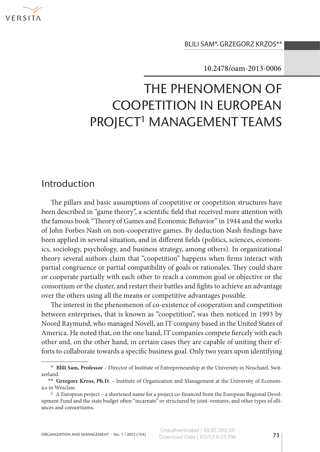

Blili Sam\*, Grzegorz Krzos\*\*

10.2478/oam-2013-0006

# The phenomenon of coopetition in European PROJECT<sup>1</sup> MANAGEMENT TEAMS

### Introduction

The pillars and basic assumptions of coopetitive or coopetition structures have been described in "game theory", a scientific field that received more attention with the famous book "Theory of Games and Economic Behavior" in 1944 and the works of John Forbes Nash on non-cooperative games. By deduction Nash findings have been applied in several situation, and in different fields (politics, sciences, economics, sociology, psychology, and business strategy, among others). In organizational theory several authors claim that "coopetition" happens when firms interact with partial congruence or partial compatibility of goals or rationales. They could share or cooperate partially with each other to reach a common goal or objective or the consortium or the cluster, and restart their battles and fights to achieve an advantage over the others using all the means or competitive advantages possible.

The interest in the phenomenon of co-existence of cooperation and competition between enterprises, that is known as "coopetition", was then noticed in 1993 by Noord Raymund, who managed Novell, an IT company based in the United States of America. He noted that, on the one hand, IT companies compete fiercely with each other and, on the other hand, in certain cases they are capable of uniting their efforts to collaborate towards a specific business goal. Only two years upon identifying

<sup>∗</sup> **Blili Sam, Professor** – Director of Institute of Entrepreneurship at the University in Neuchatel, Swit‑

zerland.<br><sup>∗</sup> **• Grzegorz Krzos, Ph.D.** – Institute of Organization and Management at the University of Econom– ics in Wroclaw.

<sup>&</sup>lt;sup>1</sup> A European project – a shortened name for a project co-financed from the European Regional Development Fund and the state budget often "incarnate" or structured by joint-ventures, and other types of alliances and consortiums.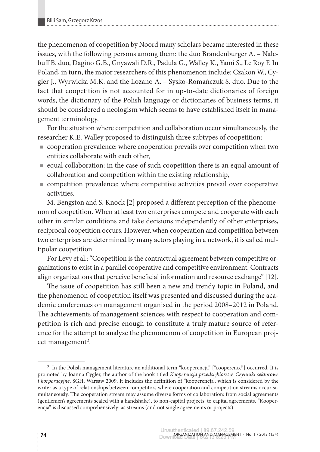the phenomenon of coopetition by Noord many scholars became interested in these issues, with the following persons among them: the duo Brandenburger A. - Nalebuff B. duo, Dagino G. B., Gnyawali D. R., Padula G., Walley K., Yami S., Le Roy F. In Poland, in turn, the major researchers of this phenomenon include: Czakon W., Cygler J., Wyrwicka M.K. and the Lozano A. – Sysko-Romańczuk S. duo. Due to the fact that coopetition is not accounted for in up-to-date dictionaries of foreign words, the dictionary of the Polish language or dictionaries of business terms, it should be considered a neologism which seems to have established itself in management terminology.

For the situation where competition and collaboration occur simultaneously, the researcher K. E. Walley proposed to distinguish three subtypes of coopetition:

- cooperation prevalence: where cooperation prevails over competition when two entities collaborate with each other,
- equal collaboration: in the case of such coopetition there is an equal amount of collaboration and competition within the existing relationship,
- competition prevalence: where competitive activities prevail over cooperative activities.

M. Bengston and S. Knock [2] proposed a different perception of the phenomenon of coopetition. When at least two enterprises compete and cooperate with each other in similar conditions and take decisions independently of other enterprises, reciprocal coopetition occurs. However, when cooperation and competition between two enterprises are determined by many actors playing in a network, it is called multipolar coopetition.

For Levy et al.: "Coopetition is the contractual agreement between competitive organizations to exist in a parallel cooperative and competitive environment. Contracts align organizations that perceive beneficial information and resource exchange" [12].

The issue of coopetition has still been a new and trendy topic in Poland, and the phenomenon of coopetition itself was presented and discussed during the academic conferences on management organised in the period 2008–2012 in Poland. The achievements of management sciences with respect to cooperation and competition is rich and precise enough to constitute a truly mature source of reference for the attempt to analyse the phenomenon of coopetition in European project management<sup>2</sup>.

<sup>2</sup> In the Polish management literature an additional term "kooperencja" ["cooperence"] occurred. It is promoted by Joanna Cygler, the author of the book titled *Kooperencja przedsiębiorstw. Czynniki sektorowe i korporacyjne*, SGH, Warsaw 2009. It includes the definition of "kooperencja", which is considered by the writer as a type of relationships between competitors where cooperation and competition streams occur simultaneously. The cooperation stream may assume diverse forms of collaboration: from social agreements (gentlemen's agreements sealed with a handshake), to non-capital projects, to capital agreements. "Kooper‑ encja" is discussed comprehensively: as streams (and not single agreements or projects).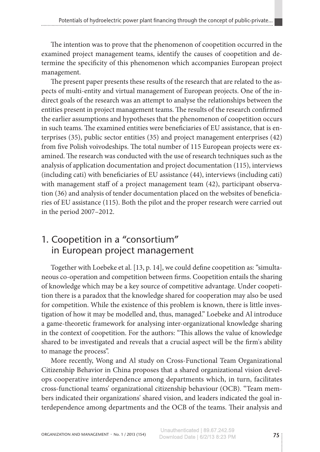The intention was to prove that the phenomenon of coopetition occurred in the examined project management teams, identify the causes of coopetition and determine the specificity of this phenomenon which accompanies European project management.

The present paper presents these results of the research that are related to the aspects of multi-entity and virtual management of European projects. One of the in‑ direct goals of the research was an attempt to analyse the relationships between the entities present in project management teams. The results of the research confirmed the earlier assumptions and hypotheses that the phenomenon of coopetition occurs in such teams. The examined entities were beneficiaries of EU assistance, that is enterprises (35), public sector entities (35) and project management enterprises (42) from five Polish voivodeships. The total number of 115 European projects were ex‑ amined. The research was conducted with the use of research techniques such as the analysis of application documentation and project documentation (115), interviews (including cati) with beneficiaries of EU assistance (44), interviews (including cati) with management staff of a project management team (42), participant observation (36) and analysis of tender documentation placed on the websites of beneficia‑ ries of EU assistance (115). Both the pilot and the proper research were carried out in the period 2007–2012.

# 1. Coopetition in a "consortium" in European project management

Together with Loebeke et al. [13, p. 14], we could define coopetition as: "simultaneous co-operation and competition between firms. Coopetition entails the sharing of knowledge which may be a key source of competitive advantage. Under coopeti‑ tion there is a paradox that the knowledge shared for cooperation may also be used for competition. While the existence of this problem is known, there is little inves– tigation of how it may be modelled and, thus, managed." Loebeke and Al introduce a game-theoretic framework for analysing inter-organizational knowledge sharing in the context of coopetition. For the authors: "This allows the value of knowledge shared to be investigated and reveals that a crucial aspect will be the firm's ability to manage the process".

More recently, Wong and Al study on Cross-Functional Team Organizational Citizenship Behavior in China proposes that a shared organizational vision devel‑ ops cooperative interdependence among departments which, in turn, facilitates cross-functional teams' organizational citizenship behaviour (OCB). "Team mem‑ bers indicated their organizations' shared vision, and leaders indicated the goal in‑ terdependence among departments and the OCB of the teams. Their analysis and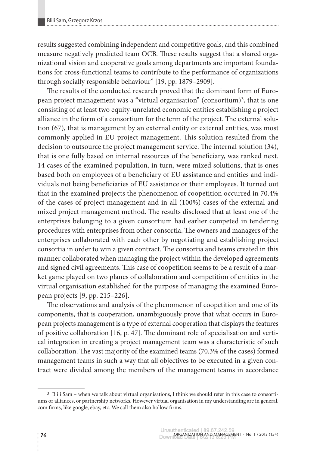results suggested combining independent and competitive goals, and this combined measure negatively predicted team OCB. These results suggest that a shared organizational vision and cooperative goals among departments are important foundations for cross-functional teams to contribute to the performance of organizations through socially responsible behaviour" [19, pp. 1879–2909].

The results of the conducted research proved that the dominant form of European project management was a "virtual organisation" (consortium)3, that is one consisting of at least two equity-unrelated economic entities establishing a project alliance in the form of a consortium for the term of the project. The external solution (67), that is management by an external entity or external entities, was most commonly applied in EU project management. This solution resulted from the decision to outsource the project management service. The internal solution (34), that is one fully based on internal resources of the beneficiary, was ranked next. 14 cases of the examined population, in turn, were mixed solutions, that is ones based both on employees of a beneficiary of EU assistance and entities and individuals not being beneficiaries of EU assistance or their employees. It turned out that in the examined projects the phenomenon of coopetition occurred in 70.4% of the cases of project management and in all (100%) cases of the external and mixed project management method. The results disclosed that at least one of the enterprises belonging to a given consortium had earlier competed in tendering procedures with enterprises from other consortia. The owners and managers of the enterprises collaborated with each other by negotiating and establishing project consortia in order to win a given contract. The consortia and teams created in this manner collaborated when managing the project within the developed agreements and signed civil agreements. This case of coopetition seems to be a result of a market game played on two planes of collaboration and competition of entities in the virtual organisation established for the purpose of managing the examined European projects [9, pp. 215–226].

The observations and analysis of the phenomenon of coopetition and one of its components, that is cooperation, unambiguously prove that what occurs in European projects management is a type of external cooperation that displays the features of positive collaboration [16, p. 47]. The dominant role of specialisation and vertical integration in creating a project management team was a characteristic of such collaboration. The vast majority of the examined teams (70.3% of the cases) formed management teams in such a way that all objectives to be executed in a given contract were divided among the members of the management teams in accordance

<sup>&</sup>lt;sup>3</sup> Blili Sam – when we talk about virtual organisations, I think we should refer in this case to consortiums or alliances, or partnership networks. However virtual organisation in my understanding are in general. com firms, like google, ebay, etc. We call them also hollow firms.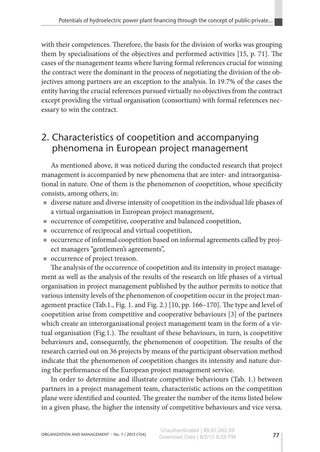with their competences. Therefore, the basis for the division of works was grouping them by specialisations of the objectives and performed activities [15, p. 71]. The cases of the management teams where having formal references crucial for winning the contract were the dominant in the process of negotiating the division of the objectives among partners are an exception to the analysis. In 19.7% of the cases the entity having the crucial references pursued virtually no objectives from the contract except providing the virtual organisation (consortium) with formal references necessary to win the contract.

### 2. Characteristics of coopetition and accompanying phenomena in European project management

As mentioned above, it was noticed during the conducted research that project management is accompanied by new phenomena that are inter- and intraorganisational in nature. One of them is the phenomenon of coopetition, whose specificity consists, among others, in:

- diverse nature and diverse intensity of coopetition in the individual life phases of a virtual organisation in European project management,
- occurrence of competitive, cooperative and balanced coopetition,
- occurrence of reciprocal and virtual coopetition,
- occurrence of informal coopetition based on informal agreements called by project managers "gentlemen's agreements",
- occurrence of project treason.

The analysis of the occurrence of coopetition and its intensity in project management as well as the analysis of the results of the research on life phases of a virtual organisation in project management published by the author permits to notice that various intensity levels of the phenomenon of coopetition occur in the project man‑ agement practice (Tab.1., Fig. 1. and Fig. 2.) [10, pp. 166–170]. The type and level of coopetition arise from competitive and cooperative behaviours [3] of the partners which create an interorganisational project management team in the form of a virtual organisation (Fig.1.). The resultant of these behaviours, in turn, is coopetitive behaviours and, consequently, the phenomenon of coopetition. The results of the research carried out on 36 projects by means of the participant observation method indicate that the phenomenon of coopetition changes its intensity and nature during the performance of the European project management service.

In order to determine and illustrate competitive behaviours (Tab. 1.) between partners in a project management team, characteristic actions on the competition plane were identified and counted. The greater the number of the items listed below in a given phase, the higher the intensity of competitive behaviours and vice versa.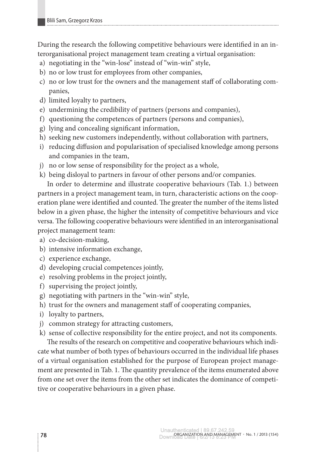During the research the following competitive behaviours were identified in an interorganisational project management team creating a virtual organisation:

- a) negotiating in the "win-lose" instead of "win-win" style,
- b) no or low trust for employees from other companies,
- c) no or low trust for the owners and the management staff of collaborating companies,
- d) limited loyalty to partners,
- e) undermining the credibility of partners (persons and companies),
- f) questioning the competences of partners (persons and companies),
- g) lying and concealing significant information,
- h) seeking new customers independently, without collaboration with partners,
- i) reducing diffusion and popularisation of specialised knowledge among persons and companies in the team,
- j) no or low sense of responsibility for the project as a whole,
- k) being disloyal to partners in favour of other persons and/or companies.

In order to determine and illustrate cooperative behaviours (Tab. 1.) between partners in a project management team, in turn, characteristic actions on the cooperation plane were identified and counted. The greater the number of the items listed below in a given phase, the higher the intensity of competitive behaviours and vice versa. The following cooperative behaviours were identified in an interorganisational project management team:

- a) co-decision-making,
- b) intensive information exchange,
- c) experience exchange,
- d) developing crucial competences jointly,
- e) resolving problems in the project jointly,
- f) supervising the project jointly,
- g) negotiating with partners in the "win-win" style,
- h) trust for the owners and management staff of cooperating companies,
- i) loyalty to partners,
- j) common strategy for attracting customers,
- k) sense of collective responsibility for the entire project, and not its components.

The results of the research on competitive and cooperative behaviours which indicate what number of both types of behaviours occurred in the individual life phases of a virtual organisation established for the purpose of European project management are presented in Tab. 1. The quantity prevalence of the items enumerated above from one set over the items from the other set indicates the dominance of competitive or cooperative behaviours in a given phase.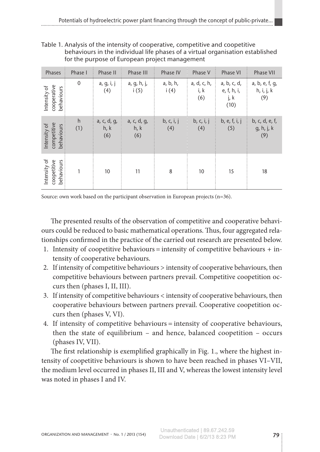Table 1. Analysis of the intensity of cooperative, competitive and coopetitive behaviours in the individual life phases of a virtual organisation established for the purpose of European project management

| Phases                                    | Phase I      | Phase II                   | Phase III                  | Phase IV          | Phase V                    | Phase VI                                   | Phase VII                           |
|-------------------------------------------|--------------|----------------------------|----------------------------|-------------------|----------------------------|--------------------------------------------|-------------------------------------|
| cooperative<br>Intensity of<br>behaviours | $\mathbf 0$  | a, g, i, j<br>(4)          | a, g, h, j,<br>i(5)        | a, b, h,<br>i(4)  | a, d, c, h,<br>i, k<br>(6) | a, b, c, d,<br>e, f, h, i,<br>j, k<br>(10) | a, b, e, f, g,<br>h, i, j, k<br>(9) |
| competitive<br>Intensity of<br>behaviours | h<br>(1)     | a, c, d, g,<br>h, k<br>(6) | a, c, d, g,<br>h, k<br>(6) | b, c, i, j<br>(4) | b, c, i, j<br>(4)          | b, e, f, i, j<br>(5)                       | b, c, d, e, f,<br>g, h, j, k<br>(9) |
| Intensity of<br>behaviours<br>coopetitive | $\mathbf{1}$ | 10                         | 11                         | 8                 | 10                         | 15                                         | 18                                  |

Source: own work based on the participant observation in European projects (n=36).

The presented results of the observation of competitive and cooperative behaviours could be reduced to basic mathematical operations. Thus, four aggregated relationships confirmed in the practice of the carried out research are presented below.

- 1. Intensity of coopetitive behaviours = intensity of competitive behaviours  $+$  intensity of cooperative behaviours.
- 2. If intensity of competitive behaviours > intensity of cooperative behaviours, then competitive behaviours between partners prevail. Competitive coopetition oc‑ curs then (phases I, II, III).
- 3. If intensity of competitive behaviours < intensity of cooperative behaviours, then cooperative behaviours between partners prevail. Cooperative coopetition oc‑ curs then (phases V, VI).
- 4. If intensity of competitive behaviours = intensity of cooperative behaviours, then the state of equilibrium – and hence, balanced coopetition – occurs (phases IV, VII).

The first relationship is exemplified graphically in Fig. 1., where the highest intensity of coopetitive behaviours is shown to have been reached in phases VI–VII, the medium level occurred in phases II, III and V, whereas the lowest intensity level was noted in phases I and IV.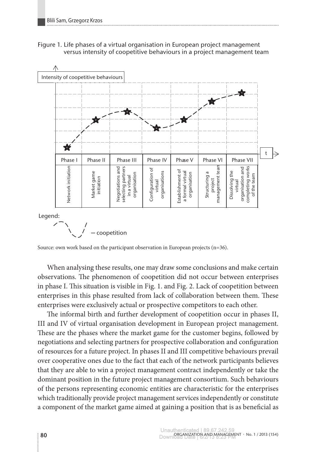



Legend:

– coopetition

Source: own work based on the participant observation in European projects (n=36).

When analysing these results, one may draw some conclusions and make certain observations. The phenomenon of coopetition did not occur between enterprises in phase I. This situation is visible in Fig. 1. and Fig. 2. Lack of coopetition between enterprises in this phase resulted from lack of collaboration between them. These enterprises were exclusively actual or prospective competitors to each other.

The informal birth and further development of coopetition occur in phases II, III and IV of virtual organisation development in European project management. These are the phases where the market game for the customer begins, followed by negotiations and selecting partners for prospective collaboration and configuration of resources for a future project. In phases II and III competitive behaviours prevail over cooperative ones due to the fact that each of the network participants believes that they are able to win a project management contract independently or take the dominant position in the future project management consortium. Such behaviours of the persons representing economic entities are characteristic for the enterprises which traditionally provide project management services independently or constitute a component of the market game aimed at gaining a position that is as beneficial as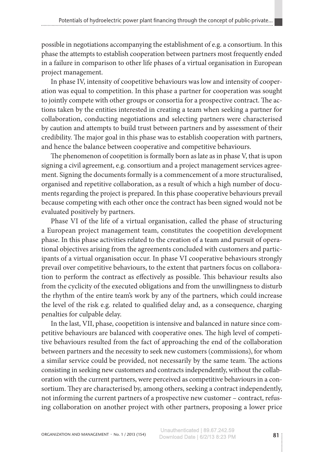possible in negotiations accompanying the establishment of e.g. a consortium. In this phase the attempts to establish cooperation between partners most frequently ended in a failure in comparison to other life phases of a virtual organisation in European project management.

In phase IV, intensity of coopetitive behaviours was low and intensity of cooperation was equal to competition. In this phase a partner for cooperation was sought to jointly compete with other groups or consortia for a prospective contract. The actions taken by the entities interested in creating a team when seeking a partner for collaboration, conducting negotiations and selecting partners were characterised by caution and attempts to build trust between partners and by assessment of their credibility. The major goal in this phase was to establish cooperation with partners, and hence the balance between cooperative and competitive behaviours.

The phenomenon of coopetition is formally born as late as in phase V, that is upon signing a civil agreement, e.g. consortium and a project management services agreement. Signing the documents formally is a commencement of a more structuralised, organised and repetitive collaboration, as a result of which a high number of documents regarding the project is prepared. In this phase cooperative behaviours prevail because competing with each other once the contract has been signed would not be evaluated positively by partners.

Phase VI of the life of a virtual organisation, called the phase of structuring a European project management team, constitutes the coopetition development phase. In this phase activities related to the creation of a team and pursuit of operational objectives arising from the agreements concluded with customers and partic‑ ipants of a virtual organisation occur. In phase VI cooperative behaviours strongly prevail over competitive behaviours, to the extent that partners focus on collaboration to perform the contract as effectively as possible. This behaviour results also from the cyclicity of the executed obligations and from the unwillingness to disturb the rhythm of the entire team's work by any of the partners, which could increase the level of the risk e.g. related to qualified delay and, as a consequence, charging penalties for culpable delay.

In the last, VII, phase, coopetition is intensive and balanced in nature since competitive behaviours are balanced with cooperative ones. The high level of competitive behaviours resulted from the fact of approaching the end of the collaboration between partners and the necessity to seek new customers (commissions), for whom a similar service could be provided, not necessarily by the same team. The actions consisting in seeking new customers and contracts independently, without the collaboration with the current partners, were perceived as competitive behaviours in a con‑ sortium. They are characterised by, among others, seeking a contract independently, not informing the current partners of a prospective new customer – contract, refusing collaboration on another project with other partners, proposing a lower price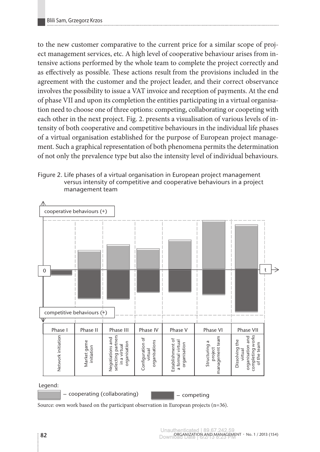to the new customer comparative to the current price for a similar scope of project management services, etc. A high level of cooperative behaviour arises from intensive actions performed by the whole team to complete the project correctly and as effectively as possible. These actions result from the provisions included in the agreement with the customer and the project leader, and their correct observance involves the possibility to issue a VAT invoice and reception of payments. At the end of phase VII and upon its completion the entities participating in a virtual organisation need to choose one of three options: competing, collaborating or coopeting with each other in the next project. Fig. 2. presents a visualisation of various levels of intensity of both cooperative and competitive behaviours in the individual life phases of a virtual organisation established for the purpose of European project management. Such a graphical representation of both phenomena permits the determination of not only the prevalence type but also the intensity level of individual behaviours.

Figure 2. Life phases of a virtual organisation in European project management versus intensity of competitive and cooperative behaviours in a project management team



Source: own work based on the participant observation in European projects (n=36).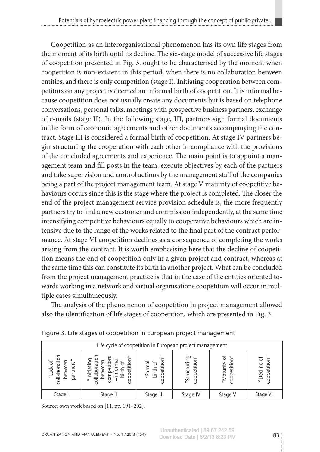Coopetition as an interorganisational phenomenon has its own life stages from the moment of its birth until its decline. The six-stage model of successive life stages of coopetition presented in Fig. 3. ought to be characterised by the moment when coopetition is non-existent in this period, when there is no collaboration between entities, and there is only competition (stage I). Initiating cooperation between competitors on any project is deemed an informal birth of coopetition. It is informal be‑ cause coopetition does not usually create any documents but is based on telephone conversations, personal talks, meetings with prospective business partners, exchange of e-mails (stage II). In the following stage, III, partners sign formal documents in the form of economic agreements and other documents accompanying the contract. Stage III is considered a formal birth of coopetition. At stage IV partners be‑ gin structuring the cooperation with each other in compliance with the provisions of the concluded agreements and experience. The main point is to appoint a management team and fill posts in the team, execute objectives by each of the partners and take supervision and control actions by the management staff of the companies being a part of the project management team. At stage V maturity of coopetitive behaviours occurs since this is the stage where the project is completed. The closer the end of the project management service provision schedule is, the more frequently partners try to find a new customer and commission independently, at the same time intensifying competitive behaviours equally to cooperative behaviours which are in‑ tensive due to the range of the works related to the final part of the contract performance. At stage VI coopetition declines as a consequence of completing the works arising from the contract. It is worth emphasising here that the decline of coopetition means the end of coopetition only in a given project and contract, whereas at the same time this can constitute its birth in another project. What can be concluded from the project management practice is that in the case of the entities oriented towards working in a network and virtual organisations coopetition will occur in multiple cases simultaneously.

The analysis of the phenomenon of coopetition in project management allowed also the identification of life stages of coopetition, which are presented in Fig. 3.

| Life cycle of coopetition in European project management |                           |                                |                                           |             |                                       |  |  |  |  |
|----------------------------------------------------------|---------------------------|--------------------------------|-------------------------------------------|-------------|---------------------------------------|--|--|--|--|
| 'ত<br>āti<br>s<br>مە<br>ack<br>collabor<br>partı<br>bet  | tiati<br>0<br>o<br>$\cup$ | opetitio<br>Σ<br>birth<br>"For | రా<br>oopetition.<br>Coopetition<br>"Stru | Ξ<br>"Matur | coopetitio<br>Decli<br>$\overline{a}$ |  |  |  |  |
| Stage I                                                  | Stage II                  | Stage III                      | Stage IV                                  | Stage V     | Stage VI                              |  |  |  |  |

Figure 3. Life stages of coopetition in European project management

Source: own work based on [11, pp. 191–202].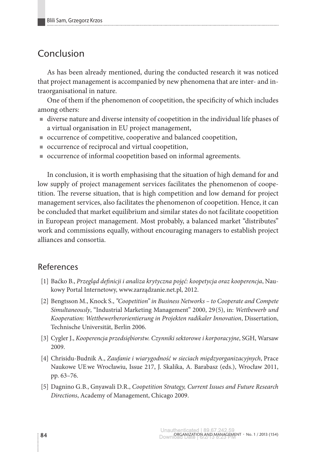### Conclusion

As has been already mentioned, during the conducted research it was noticed that project management is accompanied by new phenomena that are inter- and in‑ traorganisational in nature.

One of them if the phenomenon of coopetition, the specificity of which includes among others:

- diverse nature and diverse intensity of coopetition in the individual life phases of a virtual organisation in EU project management,
- occurrence of competitive, cooperative and balanced coopetition,
- occurrence of reciprocal and virtual coopetition,
- occurrence of informal coopetition based on informal agreements.

In conclusion, it is worth emphasising that the situation of high demand for and low supply of project management services facilitates the phenomenon of coopetition. The reverse situation, that is high competition and low demand for project management services, also facilitates the phenomenon of coopetition. Hence, it can be concluded that market equilibrium and similar states do not facilitate coopetition in European project management. Most probably, a balanced market "distributes" work and commissions equally, without encouraging managers to establish project alliances and consortia.

#### References

- [1] Baćko B., *Przegląd definicji i analiza krytyczna pojęć: koopetycja oraz kooperencja*, Nau‑ kowy Portal Internetowy, www.zarządzanie.net.pl, 2012.
- [2] Bengtsson M., Knock S., *"Coopetition" in Business Networks to Cooperate and Compete Simultaneously*, "Industrial Marketing Management" 2000, 29 (5), in: *Wettbewerb und Kooperation: Wettbewerberorientierung in Projekten radikaler Innovation*, Dissertation, Technische Universität, Berlin 2006.
- [3] Cygler J., *Kooperencja przedsiębiorstw. Czynniki sektorowe i korporacyjne*, SGH, Warsaw 2009.
- [4] Chrisidu-Budnik A., *Zaufanie i wiarygodność w sieciach międzyorganizacyjnych*, Prace Naukowe UE we Wrocławiu, Issue 217, J. Skalika, A. Barabasz (eds.), Wrocław 2011, pp. 63–76.
- [5] Dagnino G. B., Gnyawali D. R., *Coopetition Strategy, Current Issues and Future Research Directions*, Academy of Management, Chicago 2009.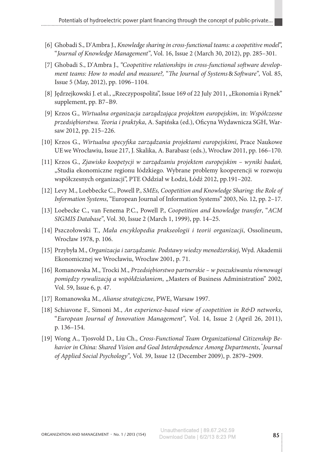- [6] Ghobadi S., D'Ambra J., *Knowledge sharing in cross-functional teams: a coopetitive model*", "*Journal of Knowledge Management"*, Vol. 16, Issue 2 (March 30, 2012), pp. 285–301.
- [7] Ghobadi S., D'Ambra J., *"Coopetitive relationships in cross-functional software development teams: How to model and measure?,* "*The Journal of Systems*&*Software",* Vol. 85, Issue 5 (May, 2012), pp. 1096–1104.
- [8] Jędrzejkowski J. et al., "Rzeczypospolita", Issue 169 of 22 July 2011, "Ekonomia i Rynek" supplement, pp. B7–B9.
- [9] Krzos G., *Wirtualna organizacja zarządzająca projektem europejskim*, in: *Współczesne przedsiębiorstwa. Teoria i praktyka*, A. Sapińska (ed.), Oficyna Wydawnicza SGH, War‑ saw 2012, pp. 215–226.
- [10] Krzos G., *Wirtualna specyfika zarządzania projektami europejskimi*, Prace Naukowe UE we Wrocławiu, Issue 217, J. Skalika, A. Barabasz (eds.), Wrocław 2011, pp. 166–170.
- [11] Krzos G., *Zjawisko koopetycji w zarządzaniu projektem europejskim wyniki badań,* "Studia ekonomiczne regionu łódzkiego. Wybrane problemy kooperencji w rozwoju współczesnych organizacji", PTE Oddział w Łodzi, Łódź 2012, pp.191–202.
- [12] Levy M., Loebbecke C., Powell P., *SMEs, Coopetition and Knowledge Sharing: the Role of Information Systems*, "European Journal of Information Systems" 2003, No. 12, pp. 2–17.
- [13] Loebecke C., van Fenema P.C., Powell P., *Coopetition and knowledge transfer*, "*ACM SIGMIS Database"*, Vol. 30, Issue 2 (March 1, 1999), pp. 14–25.
- [14] Pszczołowski T., *Mała encyklopedia prakseologii i teorii organizacji*, Ossolineum, Wrocław 1978, p. 106.
- [15] Przybyła M., *Organizacja i zarządzanie. Podstawy wiedzy menedżerskiej*, Wyd. Akademii Ekonomicznej we Wrocławiu, Wrocław 2001, p. 71.
- [16] Romanowska M., Trocki M., *Przedsiębiorstwo partnerskie w poszukiwaniu równowagi pomiędzy rywalizacją a współdziałaniem*, "Masters of Business Administration" 2002, Vol. 59, Issue 6, p. 47.
- [17] Romanowska M., *Alianse strategiczne*, PWE, Warsaw 1997.
- [18] Schiavone F., Simoni M., *An experience-based view of coopetition in R&D networks*, "*European Journal of Innovation Management",* Vol. 14, Issue 2 (April 26, 2011), p. 136–154.
- [19] Wong A., Tjosvold D., Liu Ch., *Cross-Functional Team Organizational Citizenship Behavior in China: Shared Vision and Goal Interdependence Among Departments*, "*Journal of Applied Social Psychology",* Vol. 39, Issue 12 (December 2009), p. 2879–2909.